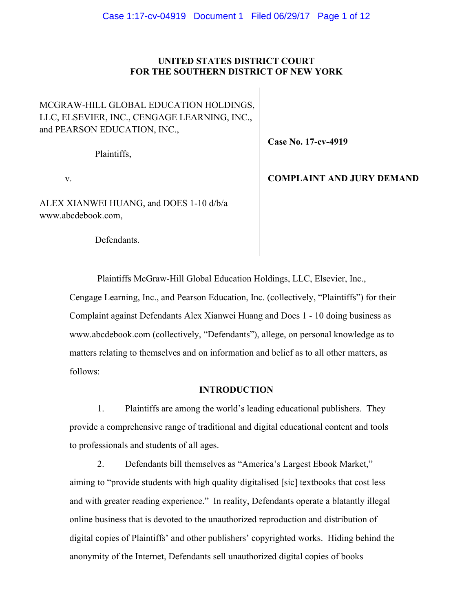## **UNITED STATES DISTRICT COURT FOR THE SOUTHERN DISTRICT OF NEW YORK**

MCGRAW-HILL GLOBAL EDUCATION HOLDINGS, LLC, ELSEVIER, INC., CENGAGE LEARNING, INC., and PEARSON EDUCATION, INC.,

Plaintiffs,

v.

ALEX XIANWEI HUANG, and DOES 1-10 d/b/a www.abcdebook.com,

**Case No. 17-cv-4919**

# **COMPLAINT AND JURY DEMAND**

Defendants.

Plaintiffs McGraw-Hill Global Education Holdings, LLC, Elsevier, Inc.,

Cengage Learning, Inc., and Pearson Education, Inc. (collectively, "Plaintiffs") for their Complaint against Defendants Alex Xianwei Huang and Does 1 - 10 doing business as www.abcdebook.com (collectively, "Defendants"), allege, on personal knowledge as to matters relating to themselves and on information and belief as to all other matters, as follows:

### **INTRODUCTION**

1. Plaintiffs are among the world's leading educational publishers. They provide a comprehensive range of traditional and digital educational content and tools to professionals and students of all ages.

2. Defendants bill themselves as "America's Largest Ebook Market," aiming to "provide students with high quality digitalised [sic] textbooks that cost less and with greater reading experience." In reality, Defendants operate a blatantly illegal online business that is devoted to the unauthorized reproduction and distribution of digital copies of Plaintiffs' and other publishers' copyrighted works. Hiding behind the anonymity of the Internet, Defendants sell unauthorized digital copies of books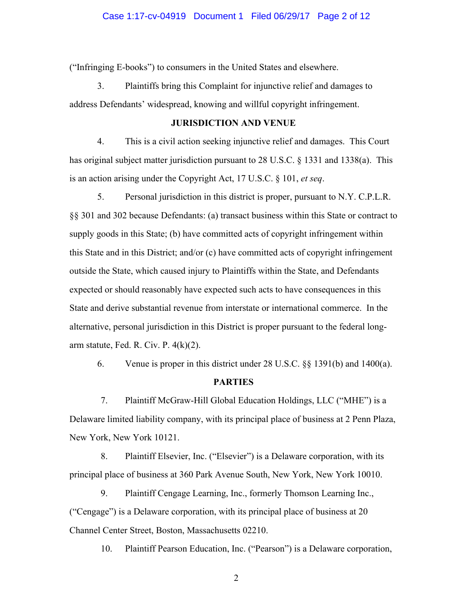("Infringing E-books") to consumers in the United States and elsewhere.

3. Plaintiffs bring this Complaint for injunctive relief and damages to address Defendants' widespread, knowing and willful copyright infringement.

### **JURISDICTION AND VENUE**

4. This is a civil action seeking injunctive relief and damages. This Court has original subject matter jurisdiction pursuant to 28 U.S.C. § 1331 and 1338(a). This is an action arising under the Copyright Act, 17 U.S.C. § 101, *et seq*.

5. Personal jurisdiction in this district is proper, pursuant to N.Y. C.P.L.R. §§ 301 and 302 because Defendants: (a) transact business within this State or contract to supply goods in this State; (b) have committed acts of copyright infringement within this State and in this District; and/or (c) have committed acts of copyright infringement outside the State, which caused injury to Plaintiffs within the State, and Defendants expected or should reasonably have expected such acts to have consequences in this State and derive substantial revenue from interstate or international commerce. In the alternative, personal jurisdiction in this District is proper pursuant to the federal longarm statute, Fed. R. Civ. P.  $4(k)(2)$ .

6. Venue is proper in this district under 28 U.S.C. §§ 1391(b) and 1400(a).

## **PARTIES**

7. Plaintiff McGraw-Hill Global Education Holdings, LLC ("MHE") is a Delaware limited liability company, with its principal place of business at 2 Penn Plaza, New York, New York 10121.

8. Plaintiff Elsevier, Inc. ("Elsevier") is a Delaware corporation, with its principal place of business at 360 Park Avenue South, New York, New York 10010.

9. Plaintiff Cengage Learning, Inc., formerly Thomson Learning Inc., ("Cengage") is a Delaware corporation, with its principal place of business at 20 Channel Center Street, Boston, Massachusetts 02210.

10. Plaintiff Pearson Education, Inc. ("Pearson") is a Delaware corporation,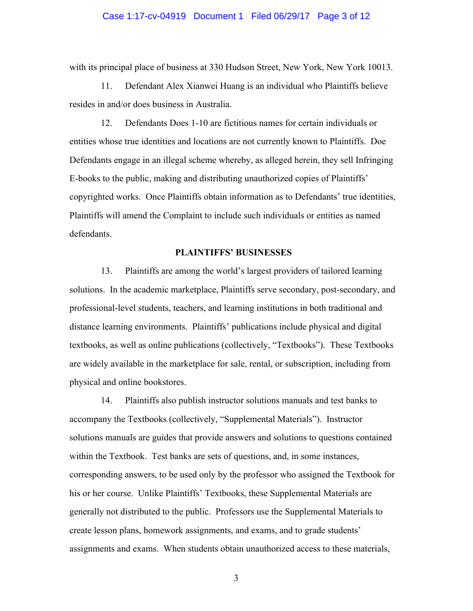#### Case 1:17-cv-04919 Document 1 Filed 06/29/17 Page 3 of 12

with its principal place of business at 330 Hudson Street, New York, New York 10013.

11. Defendant Alex Xianwei Huang is an individual who Plaintiffs believe resides in and/or does business in Australia.

12. Defendants Does 1-10 are fictitious names for certain individuals or entities whose true identities and locations are not currently known to Plaintiffs. Doe Defendants engage in an illegal scheme whereby, as alleged herein, they sell Infringing E-books to the public, making and distributing unauthorized copies of Plaintiffs' copyrighted works. Once Plaintiffs obtain information as to Defendants' true identities, Plaintiffs will amend the Complaint to include such individuals or entities as named defendants.

#### **PLAINTIFFS' BUSINESSES**

13. Plaintiffs are among the world's largest providers of tailored learning solutions. In the academic marketplace, Plaintiffs serve secondary, post-secondary, and professional-level students, teachers, and learning institutions in both traditional and distance learning environments. Plaintiffs' publications include physical and digital textbooks, as well as online publications (collectively, "Textbooks"). These Textbooks are widely available in the marketplace for sale, rental, or subscription, including from physical and online bookstores.

14. Plaintiffs also publish instructor solutions manuals and test banks to accompany the Textbooks (collectively, "Supplemental Materials"). Instructor solutions manuals are guides that provide answers and solutions to questions contained within the Textbook. Test banks are sets of questions, and, in some instances, corresponding answers, to be used only by the professor who assigned the Textbook for his or her course. Unlike Plaintiffs' Textbooks, these Supplemental Materials are generally not distributed to the public. Professors use the Supplemental Materials to create lesson plans, homework assignments, and exams, and to grade students' assignments and exams. When students obtain unauthorized access to these materials,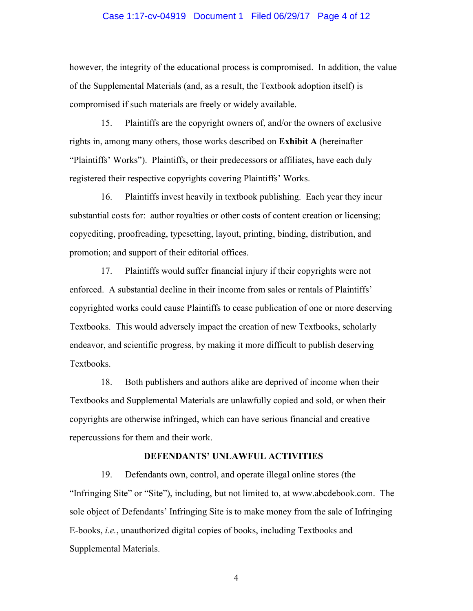#### Case 1:17-cv-04919 Document 1 Filed 06/29/17 Page 4 of 12

however, the integrity of the educational process is compromised. In addition, the value of the Supplemental Materials (and, as a result, the Textbook adoption itself) is compromised if such materials are freely or widely available.

15. Plaintiffs are the copyright owners of, and/or the owners of exclusive rights in, among many others, those works described on **Exhibit A** (hereinafter "Plaintiffs' Works"). Plaintiffs, or their predecessors or affiliates, have each duly registered their respective copyrights covering Plaintiffs' Works.

16. Plaintiffs invest heavily in textbook publishing. Each year they incur substantial costs for: author royalties or other costs of content creation or licensing; copyediting, proofreading, typesetting, layout, printing, binding, distribution, and promotion; and support of their editorial offices.

17. Plaintiffs would suffer financial injury if their copyrights were not enforced. A substantial decline in their income from sales or rentals of Plaintiffs' copyrighted works could cause Plaintiffs to cease publication of one or more deserving Textbooks. This would adversely impact the creation of new Textbooks, scholarly endeavor, and scientific progress, by making it more difficult to publish deserving Textbooks.

18. Both publishers and authors alike are deprived of income when their Textbooks and Supplemental Materials are unlawfully copied and sold, or when their copyrights are otherwise infringed, which can have serious financial and creative repercussions for them and their work.

#### **DEFENDANTS' UNLAWFUL ACTIVITIES**

19. Defendants own, control, and operate illegal online stores (the "Infringing Site" or "Site"), including, but not limited to, at www.abcdebook.com. The sole object of Defendants' Infringing Site is to make money from the sale of Infringing E-books, *i.e.*, unauthorized digital copies of books, including Textbooks and Supplemental Materials.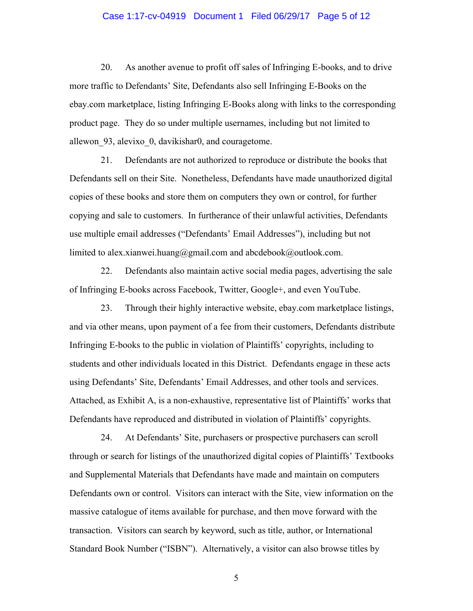#### Case 1:17-cv-04919 Document 1 Filed 06/29/17 Page 5 of 12

20. As another avenue to profit off sales of Infringing E-books, and to drive more traffic to Defendants' Site, Defendants also sell Infringing E-Books on the ebay.com marketplace, listing Infringing E-Books along with links to the corresponding product page. They do so under multiple usernames, including but not limited to allewon\_93, alevixo\_0, davikishar0, and couragetome.

21. Defendants are not authorized to reproduce or distribute the books that Defendants sell on their Site. Nonetheless, Defendants have made unauthorized digital copies of these books and store them on computers they own or control, for further copying and sale to customers. In furtherance of their unlawful activities, Defendants use multiple email addresses ("Defendants' Email Addresses"), including but not limited to alex.xianwei.huang@gmail.com and abcdebook@outlook.com.

22. Defendants also maintain active social media pages, advertising the sale of Infringing E-books across Facebook, Twitter, Google+, and even YouTube.

23. Through their highly interactive website, ebay.com marketplace listings, and via other means, upon payment of a fee from their customers, Defendants distribute Infringing E-books to the public in violation of Plaintiffs' copyrights, including to students and other individuals located in this District. Defendants engage in these acts using Defendants' Site, Defendants' Email Addresses, and other tools and services. Attached, as Exhibit A, is a non-exhaustive, representative list of Plaintiffs' works that Defendants have reproduced and distributed in violation of Plaintiffs' copyrights.

24. At Defendants' Site, purchasers or prospective purchasers can scroll through or search for listings of the unauthorized digital copies of Plaintiffs' Textbooks and Supplemental Materials that Defendants have made and maintain on computers Defendants own or control. Visitors can interact with the Site, view information on the massive catalogue of items available for purchase, and then move forward with the transaction. Visitors can search by keyword, such as title, author, or International Standard Book Number ("ISBN"). Alternatively, a visitor can also browse titles by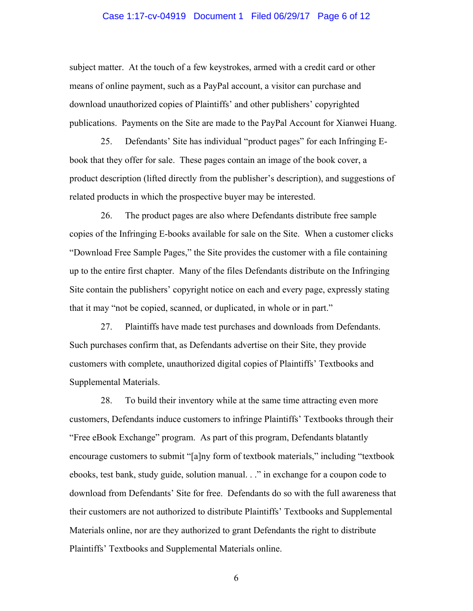#### Case 1:17-cv-04919 Document 1 Filed 06/29/17 Page 6 of 12

subject matter. At the touch of a few keystrokes, armed with a credit card or other means of online payment, such as a PayPal account, a visitor can purchase and download unauthorized copies of Plaintiffs' and other publishers' copyrighted publications. Payments on the Site are made to the PayPal Account for Xianwei Huang.

25. Defendants' Site has individual "product pages" for each Infringing Ebook that they offer for sale. These pages contain an image of the book cover, a product description (lifted directly from the publisher's description), and suggestions of related products in which the prospective buyer may be interested.

26. The product pages are also where Defendants distribute free sample copies of the Infringing E-books available for sale on the Site. When a customer clicks "Download Free Sample Pages," the Site provides the customer with a file containing up to the entire first chapter. Many of the files Defendants distribute on the Infringing Site contain the publishers' copyright notice on each and every page, expressly stating that it may "not be copied, scanned, or duplicated, in whole or in part."

27. Plaintiffs have made test purchases and downloads from Defendants. Such purchases confirm that, as Defendants advertise on their Site, they provide customers with complete, unauthorized digital copies of Plaintiffs' Textbooks and Supplemental Materials.

28. To build their inventory while at the same time attracting even more customers, Defendants induce customers to infringe Plaintiffs' Textbooks through their "Free eBook Exchange" program. As part of this program, Defendants blatantly encourage customers to submit "[a]ny form of textbook materials," including "textbook ebooks, test bank, study guide, solution manual. . ." in exchange for a coupon code to download from Defendants' Site for free. Defendants do so with the full awareness that their customers are not authorized to distribute Plaintiffs' Textbooks and Supplemental Materials online, nor are they authorized to grant Defendants the right to distribute Plaintiffs' Textbooks and Supplemental Materials online.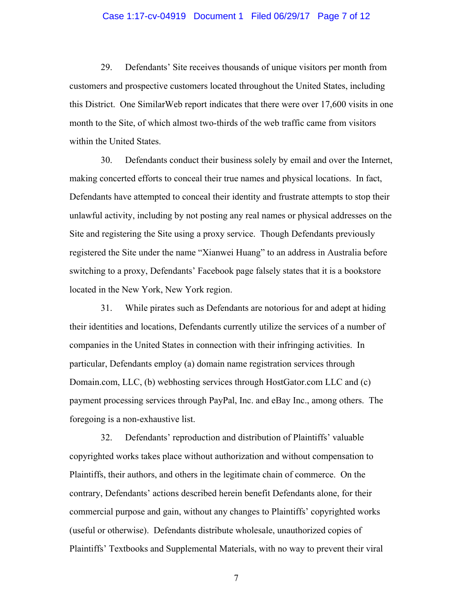#### Case 1:17-cv-04919 Document 1 Filed 06/29/17 Page 7 of 12

29. Defendants' Site receives thousands of unique visitors per month from customers and prospective customers located throughout the United States, including this District. One SimilarWeb report indicates that there were over 17,600 visits in one month to the Site, of which almost two-thirds of the web traffic came from visitors within the United States.

30. Defendants conduct their business solely by email and over the Internet, making concerted efforts to conceal their true names and physical locations. In fact, Defendants have attempted to conceal their identity and frustrate attempts to stop their unlawful activity, including by not posting any real names or physical addresses on the Site and registering the Site using a proxy service. Though Defendants previously registered the Site under the name "Xianwei Huang" to an address in Australia before switching to a proxy, Defendants' Facebook page falsely states that it is a bookstore located in the New York, New York region.

31. While pirates such as Defendants are notorious for and adept at hiding their identities and locations, Defendants currently utilize the services of a number of companies in the United States in connection with their infringing activities. In particular, Defendants employ (a) domain name registration services through Domain.com, LLC, (b) webhosting services through HostGator.com LLC and (c) payment processing services through PayPal, Inc. and eBay Inc., among others. The foregoing is a non-exhaustive list.

32. Defendants' reproduction and distribution of Plaintiffs' valuable copyrighted works takes place without authorization and without compensation to Plaintiffs, their authors, and others in the legitimate chain of commerce. On the contrary, Defendants' actions described herein benefit Defendants alone, for their commercial purpose and gain, without any changes to Plaintiffs' copyrighted works (useful or otherwise). Defendants distribute wholesale, unauthorized copies of Plaintiffs' Textbooks and Supplemental Materials, with no way to prevent their viral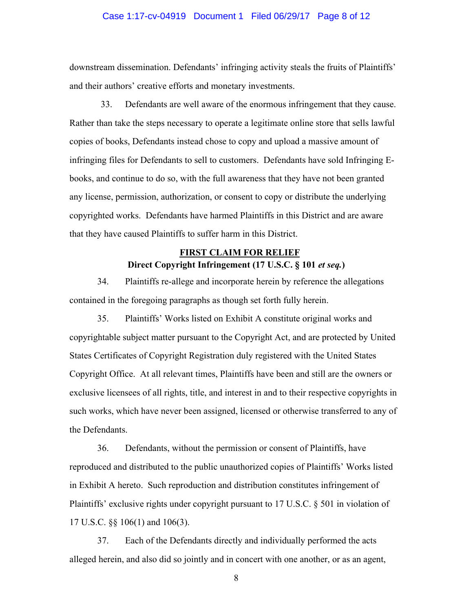#### Case 1:17-cv-04919 Document 1 Filed 06/29/17 Page 8 of 12

downstream dissemination. Defendants' infringing activity steals the fruits of Plaintiffs' and their authors' creative efforts and monetary investments.

33. Defendants are well aware of the enormous infringement that they cause. Rather than take the steps necessary to operate a legitimate online store that sells lawful copies of books, Defendants instead chose to copy and upload a massive amount of infringing files for Defendants to sell to customers. Defendants have sold Infringing Ebooks, and continue to do so, with the full awareness that they have not been granted any license, permission, authorization, or consent to copy or distribute the underlying copyrighted works. Defendants have harmed Plaintiffs in this District and are aware that they have caused Plaintiffs to suffer harm in this District.

## **FIRST CLAIM FOR RELIEF Direct Copyright Infringement (17 U.S.C. § 101** *et seq.***)**

34. Plaintiffs re-allege and incorporate herein by reference the allegations contained in the foregoing paragraphs as though set forth fully herein.

35. Plaintiffs' Works listed on Exhibit A constitute original works and copyrightable subject matter pursuant to the Copyright Act, and are protected by United States Certificates of Copyright Registration duly registered with the United States Copyright Office. At all relevant times, Plaintiffs have been and still are the owners or exclusive licensees of all rights, title, and interest in and to their respective copyrights in such works, which have never been assigned, licensed or otherwise transferred to any of the Defendants.

36. Defendants, without the permission or consent of Plaintiffs, have reproduced and distributed to the public unauthorized copies of Plaintiffs' Works listed in Exhibit A hereto. Such reproduction and distribution constitutes infringement of Plaintiffs' exclusive rights under copyright pursuant to 17 U.S.C. § 501 in violation of 17 U.S.C. §§ 106(1) and 106(3).

37. Each of the Defendants directly and individually performed the acts alleged herein, and also did so jointly and in concert with one another, or as an agent,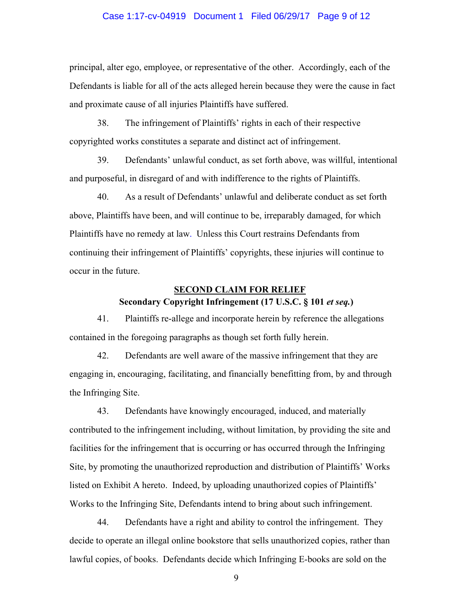#### Case 1:17-cv-04919 Document 1 Filed 06/29/17 Page 9 of 12

principal, alter ego, employee, or representative of the other. Accordingly, each of the Defendants is liable for all of the acts alleged herein because they were the cause in fact and proximate cause of all injuries Plaintiffs have suffered.

38. The infringement of Plaintiffs' rights in each of their respective copyrighted works constitutes a separate and distinct act of infringement.

39. Defendants' unlawful conduct, as set forth above, was willful, intentional and purposeful, in disregard of and with indifference to the rights of Plaintiffs.

40. As a result of Defendants' unlawful and deliberate conduct as set forth above, Plaintiffs have been, and will continue to be, irreparably damaged, for which Plaintiffs have no remedy at law. Unless this Court restrains Defendants from continuing their infringement of Plaintiffs' copyrights, these injuries will continue to occur in the future.

#### **SECOND CLAIM FOR RELIEF**

## **Secondary Copyright Infringement (17 U.S.C. § 101** *et seq.***)**

41. Plaintiffs re-allege and incorporate herein by reference the allegations contained in the foregoing paragraphs as though set forth fully herein.

42. Defendants are well aware of the massive infringement that they are engaging in, encouraging, facilitating, and financially benefitting from, by and through the Infringing Site.

43. Defendants have knowingly encouraged, induced, and materially contributed to the infringement including, without limitation, by providing the site and facilities for the infringement that is occurring or has occurred through the Infringing Site, by promoting the unauthorized reproduction and distribution of Plaintiffs' Works listed on Exhibit A hereto. Indeed, by uploading unauthorized copies of Plaintiffs' Works to the Infringing Site, Defendants intend to bring about such infringement.

44. Defendants have a right and ability to control the infringement. They decide to operate an illegal online bookstore that sells unauthorized copies, rather than lawful copies, of books. Defendants decide which Infringing E-books are sold on the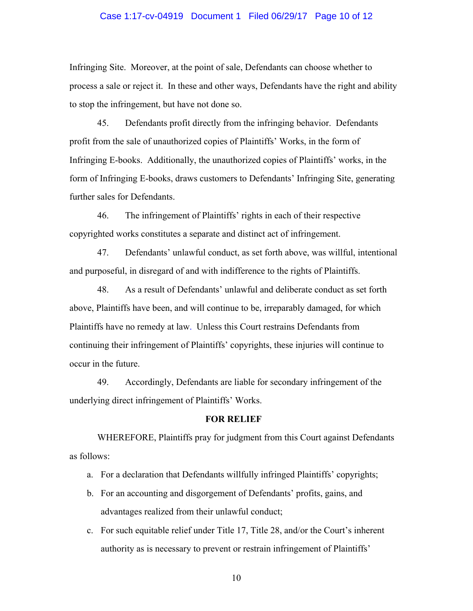#### Case 1:17-cv-04919 Document 1 Filed 06/29/17 Page 10 of 12

Infringing Site. Moreover, at the point of sale, Defendants can choose whether to process a sale or reject it. In these and other ways, Defendants have the right and ability to stop the infringement, but have not done so.

45. Defendants profit directly from the infringing behavior. Defendants profit from the sale of unauthorized copies of Plaintiffs' Works, in the form of Infringing E-books. Additionally, the unauthorized copies of Plaintiffs' works, in the form of Infringing E-books, draws customers to Defendants' Infringing Site, generating further sales for Defendants.

46. The infringement of Plaintiffs' rights in each of their respective copyrighted works constitutes a separate and distinct act of infringement.

47. Defendants' unlawful conduct, as set forth above, was willful, intentional and purposeful, in disregard of and with indifference to the rights of Plaintiffs.

48. As a result of Defendants' unlawful and deliberate conduct as set forth above, Plaintiffs have been, and will continue to be, irreparably damaged, for which Plaintiffs have no remedy at law. Unless this Court restrains Defendants from continuing their infringement of Plaintiffs' copyrights, these injuries will continue to occur in the future.

49. Accordingly, Defendants are liable for secondary infringement of the underlying direct infringement of Plaintiffs' Works.

#### **FOR RELIEF**

WHEREFORE, Plaintiffs pray for judgment from this Court against Defendants as follows:

- a. For a declaration that Defendants willfully infringed Plaintiffs' copyrights;
- b. For an accounting and disgorgement of Defendants' profits, gains, and advantages realized from their unlawful conduct;
- c. For such equitable relief under Title 17, Title 28, and/or the Court's inherent authority as is necessary to prevent or restrain infringement of Plaintiffs'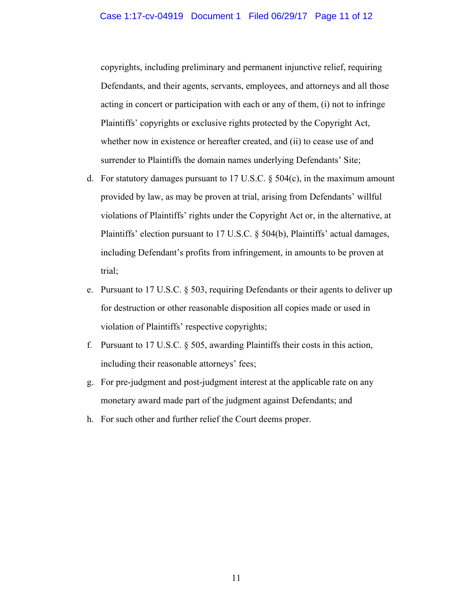copyrights, including preliminary and permanent injunctive relief, requiring Defendants, and their agents, servants, employees, and attorneys and all those acting in concert or participation with each or any of them, (i) not to infringe Plaintiffs' copyrights or exclusive rights protected by the Copyright Act, whether now in existence or hereafter created, and (ii) to cease use of and surrender to Plaintiffs the domain names underlying Defendants' Site;

- d. For statutory damages pursuant to 17 U.S.C. § 504(c), in the maximum amount provided by law, as may be proven at trial, arising from Defendants' willful violations of Plaintiffs' rights under the Copyright Act or, in the alternative, at Plaintiffs' election pursuant to 17 U.S.C. § 504(b), Plaintiffs' actual damages, including Defendant's profits from infringement, in amounts to be proven at trial;
- e. Pursuant to 17 U.S.C. § 503, requiring Defendants or their agents to deliver up for destruction or other reasonable disposition all copies made or used in violation of Plaintiffs' respective copyrights;
- f. Pursuant to 17 U.S.C. § 505, awarding Plaintiffs their costs in this action, including their reasonable attorneys' fees;
- g. For pre-judgment and post-judgment interest at the applicable rate on any monetary award made part of the judgment against Defendants; and
- h. For such other and further relief the Court deems proper.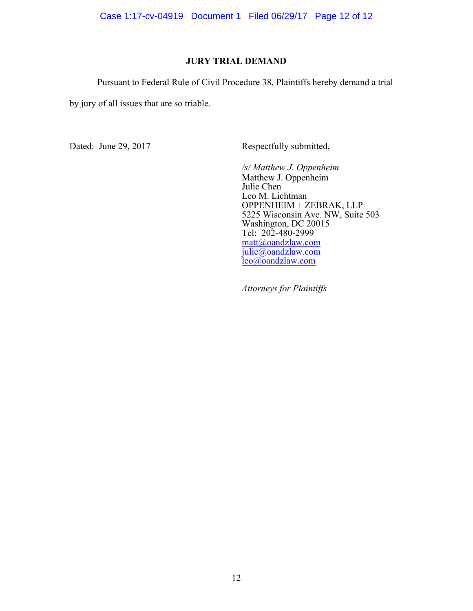Case 1:17-cv-04919 Document 1 Filed 06/29/17 Page 12 of 12

## **JURY TRIAL DEMAND**

Pursuant to Federal Rule of Civil Procedure 38, Plaintiffs hereby demand a trial

by jury of all issues that are so triable.

Dated: June 29, 2017 Respectfully submitted,

*/s/ Matthew J. Oppenheim*

Matthew J. Oppenheim Julie Chen Leo M. Lichtman OPPENHEIM + ZEBRAK, LLP 5225 Wisconsin Ave. NW, Suite 503 Washington, DC 20015 Tel: 202-480-2999 matt@oandzlaw.com julie@oandzlaw.com leo@oandzlaw.com

*Attorneys for Plaintiffs*